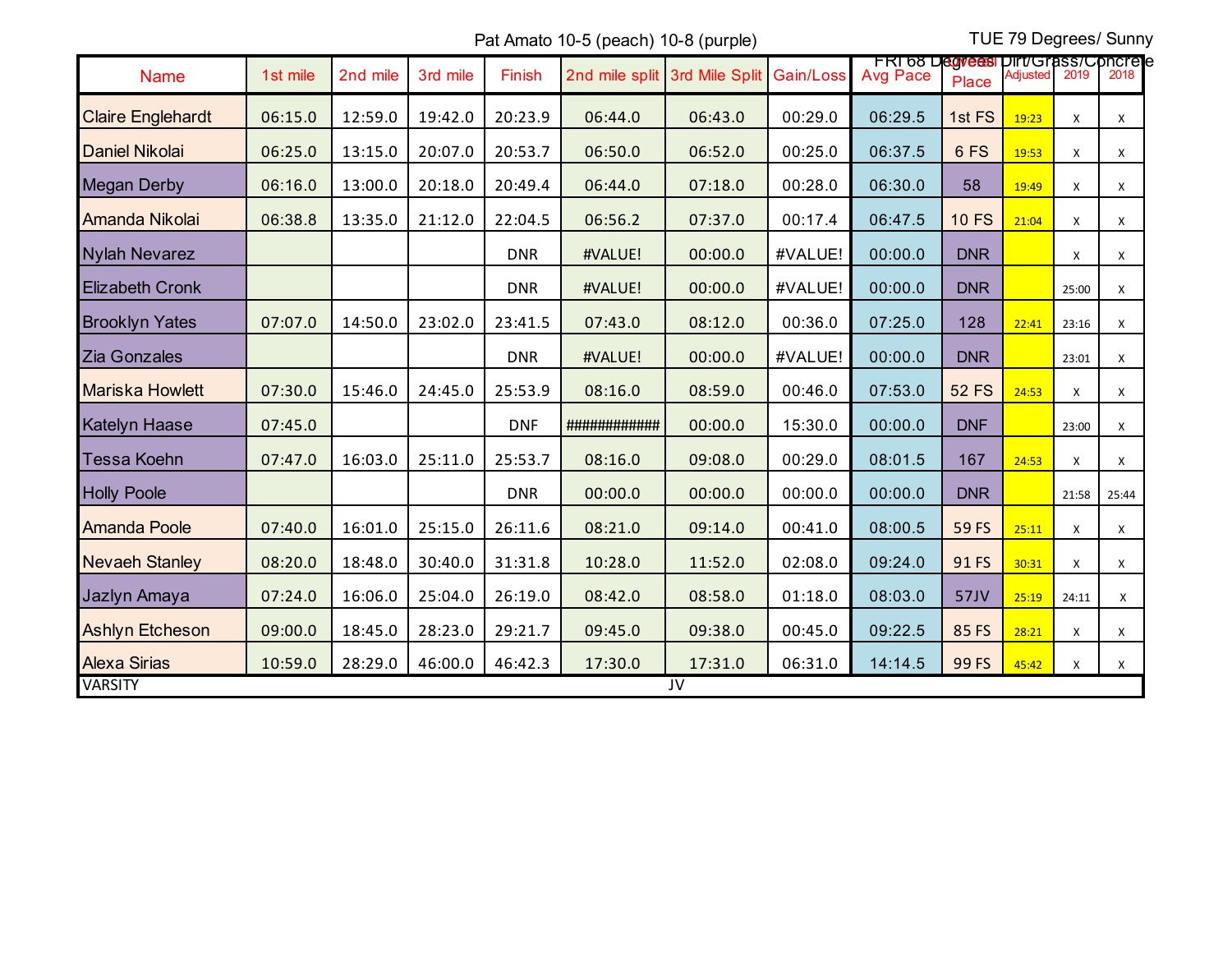Pat Amato 10-5 (peach) 10-8 (purple) TUE 79 Degrees/ Sunny

|                          |          |          |          |            |                     |                |           | <b>FRI 68 Degrees Dirt/Grass/Concrete</b> |              |          |       |       |
|--------------------------|----------|----------|----------|------------|---------------------|----------------|-----------|-------------------------------------------|--------------|----------|-------|-------|
| <b>Name</b>              | 1st mile | 2nd mile | 3rd mile | Finish     | 2nd mile split      | 3rd Mile Split | Gain/Loss | <b>Avg Pace</b>                           | <b>Place</b> | Adiusted | 2019  | 2018  |
| <b>Claire Englehardt</b> | 06:15.0  | 12:59.0  | 19:42.0  | 20:23.9    | 06:44.0             | 06:43.0        | 00:29.0   | 06:29.5                                   | 1st FS       | 19:23    | X     | X     |
| <b>Daniel Nikolai</b>    | 06:25.0  | 13:15.0  | 20:07.0  | 20:53.7    | 06:50.0             | 06:52.0        | 00:25.0   | 06:37.5                                   | 6FS          | 19:53    | X     | Χ     |
| <b>Megan Derby</b>       | 06:16.0  | 13:00.0  | 20:18.0  | 20:49.4    | 06:44.0             | 07:18.0        | 00:28.0   | 06:30.0                                   | 58           | 19:49    | Χ     | Χ     |
| Amanda Nikolai           | 06:38.8  | 13:35.0  | 21:12.0  | 22:04.5    | 06:56.2             | 07:37.0        | 00:17.4   | 06:47.5                                   | <b>10 FS</b> | 21:04    | Χ     | Χ     |
| <b>Nylah Nevarez</b>     |          |          |          | <b>DNR</b> | #VALUE!             | 00:00.0        | #VALUE!   | 00:00.0                                   | <b>DNR</b>   |          | X     | X     |
| <b>Elizabeth Cronk</b>   |          |          |          | <b>DNR</b> | #VALUE!             | 00:00.0        | #VALUE!   | 00:00.0                                   | <b>DNR</b>   |          | 25:00 | X     |
| <b>Brooklyn Yates</b>    | 07:07.0  | 14:50.0  | 23:02.0  | 23:41.5    | 07:43.0             | 08:12.0        | 00:36.0   | 07:25.0                                   | 128          | 22:41    | 23:16 | X     |
| Zia Gonzales             |          |          |          | <b>DNR</b> | #VALUE!             | 00:00.0        | #VALUE!   | 00:00.0                                   | <b>DNR</b>   |          | 23:01 | Χ     |
| <b>Mariska Howlett</b>   | 07:30.0  | 15:46.0  | 24:45.0  | 25:53.9    | 08:16.0             | 08:59.0        | 00:46.0   | 07:53.0                                   | <b>52 FS</b> | 24:53    | X     | X     |
| <b>Katelyn Haase</b>     | 07:45.0  |          |          | <b>DNF</b> | <b>############</b> | 00:00.0        | 15:30.0   | 00:00.0                                   | <b>DNF</b>   |          | 23:00 | X     |
| Tessa Koehn              | 07:47.0  | 16:03.0  | 25:11.0  | 25:53.7    | 08:16.0             | 09:08.0        | 00:29.0   | 08:01.5                                   | 167          | 24:53    | X     | х     |
| <b>Holly Poole</b>       |          |          |          | <b>DNR</b> | 00:00.0             | 00:00.0        | 00:00.0   | 00:00.0                                   | <b>DNR</b>   |          | 21:58 | 25:44 |
| <b>Amanda Poole</b>      | 07:40.0  | 16:01.0  | 25:15.0  | 26:11.6    | 08:21.0             | 09:14.0        | 00:41.0   | 08:00.5                                   | 59 FS        | 25:11    | Χ     | X     |
| <b>Nevaeh Stanley</b>    | 08:20.0  | 18:48.0  | 30:40.0  | 31:31.8    | 10:28.0             | 11:52.0        | 02:08.0   | 09:24.0                                   | 91 FS        | 30:31    | X     | X     |
| Jazlyn Amaya             | 07:24.0  | 16:06.0  | 25:04.0  | 26:19.0    | 08:42.0             | 08:58.0        | 01:18.0   | 08:03.0                                   | 57JV         | 25:19    | 24:11 | Χ     |
| <b>Ashlyn Etcheson</b>   | 09:00.0  | 18:45.0  | 28:23.0  | 29:21.7    | 09:45.0             | 09:38.0        | 00:45.0   | 09:22.5                                   | 85 FS        | 28:21    | X     | Χ     |
| <b>Alexa Sirias</b>      | 10:59.0  | 28:29.0  | 46:00.0  | 46:42.3    | 17:30.0             | 17:31.0        | 06:31.0   | 14:14.5                                   | 99 FS        | 45:42    | Χ     | X     |
| <b>VARSITY</b><br>JV     |          |          |          |            |                     |                |           |                                           |              |          |       |       |